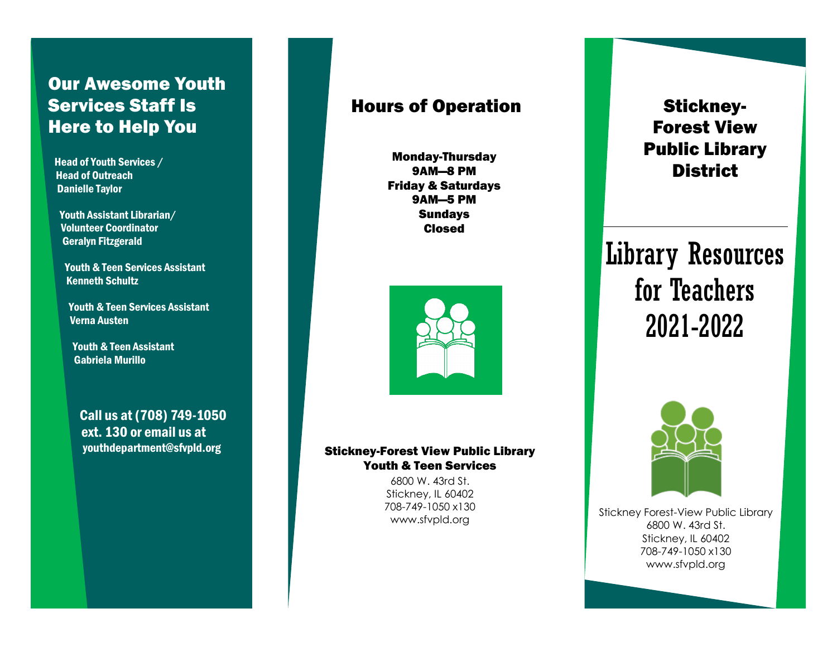# Our Awesome Youth Services Staff Is Here to Help You

Head of Youth Services / Head of Outreach Danielle Taylor

Youth Assistant Librarian/ Volunteer Coordinator Geralyn Fitzgerald

Youth & Teen Services Assistant Kenneth Schultz

Youth & Teen Services Assistant Verna Austen

Youth & Teen Assistant Gabriela Murillo

Call us at (708) 749-1050 ext. 130 or email us at youthdepartment@sfvpld.org

## Hours of Operation

Monday-Thursday 9AM—8 PM Friday & Saturdays 9AM—5 PM **Sundavs** Closed



### Stickney-Forest View Public Library Youth & Teen Services

6800 W. 43rd St. Stickney, IL 60402 708-749-1050 x130 www.sfvpld.org

# Stickney-Forest View Public Library **District**

Library Resources for Teachers 2021-2022



Stickney Forest-View Public Library 6800 W. 43rd St. Stickney, IL 60402 708-749-1050 x130 www.sfvpld.org